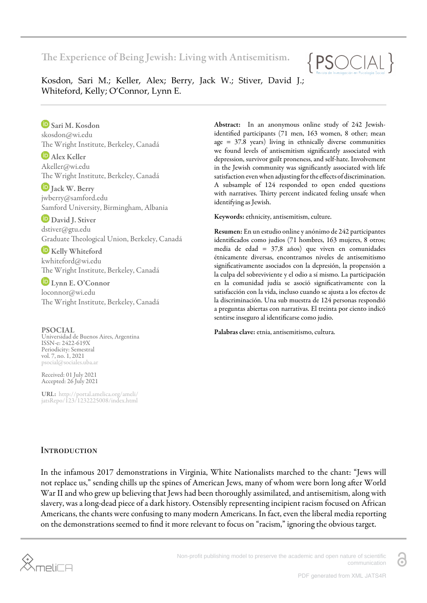The Experience of Being Jewish: Living with Antisemitism.



Kosdon, Sari M.; Keller, Alex; Berry, Jack W.; Stiver, David J.; Whiteford, Kelly; O'Connor, Lynn E.

Sari M. Kosdon skosdon@wi.edu The Wright Institute, Berkeley, Canadá

**D** Alex Keller Akeller@wi.edu The Wright Institute, Berkeley, Canadá

D Jack W. Berry jwberry@samford.edu Samford University, Birmingham, Albania

David J. Stiver dstiver@gtu.edu Graduate Theological Union, Berkeley, Canadá

**E** Kelly Whiteford kwhiteford@wi.edu The Wright Institute, Berkeley, Canadá

Lynn E. O'Connor loconnor@wi.edu The Wright Institute, Berkeley, Canadá

## PSOCIAL

Universidad de Buenos Aires, Argentina ISSN-e: 2422-619X Periodicity: Semestral vol. 7, no. 1, 2021 psocial@sociales.uba.ar

Received: 01 July 2021 Accepted: 26 July 2021

URL: [http://portal.amelica.org/ameli/](http://portal.amelica.org/ameli/jatsRepo/123/1232225008/index.html) [jatsRepo/123/1232225008/index.html](http://portal.amelica.org/ameli/jatsRepo/123/1232225008/index.html) Abstract: In an anonymous online study of 242 Jewishidentified participants (71 men, 163 women, 8 other; mean  $\alpha$  = 37.8 years) living in ethnically diverse communities we found levels of antisemitism significantly associated with depression, survivor guilt proneness, and self-hate. Involvement in the Jewish community was significantly associated with life satisfaction even when adjusting for the effects of discrimination. A subsample of 124 responded to open ended questions with narratives. Thirty percent indicated feeling unsafe when identifying as Jewish.

Keywords: ethnicity, antisemitism, culture.

Resumen: En un estudio online y anónimo de 242 participantes identificados como judíos (71 hombres, 163 mujeres, 8 otros; media de edad = 37,8 años) que viven en comunidades étnicamente diversas, encontramos niveles de antisemitismo significativamente asociados con la depresión, la propensión a la culpa del sobreviviente y el odio a sí mismo. La participación en la comunidad judía se asoció significativamente con la satisfacción con la vida, incluso cuando se ajusta a los efectos de la discriminación. Una sub muestra de 124 personas respondió a preguntas abiertas con narrativas. El treinta por ciento indicó sentirse inseguro al identificarse como judío.

Palabras clave: etnia, antisemitismo, cultura.

# **INTRODUCTION**

In the infamous 2017 demonstrations in Virginia, White Nationalists marched to the chant: "Jews will not replace us," sending chills up the spines of American Jews, many of whom were born long after World War II and who grew up believing that Jews had been thoroughly assimilated, and antisemitism, along with slavery, was a long-dead piece of a dark history. Ostensibly representing incipient racism focused on African Americans, the chants were confusing to many modern Americans. In fact, even the liberal media reporting on the demonstrations seemed to find it more relevant to focus on "racism," ignoring the obvious target.

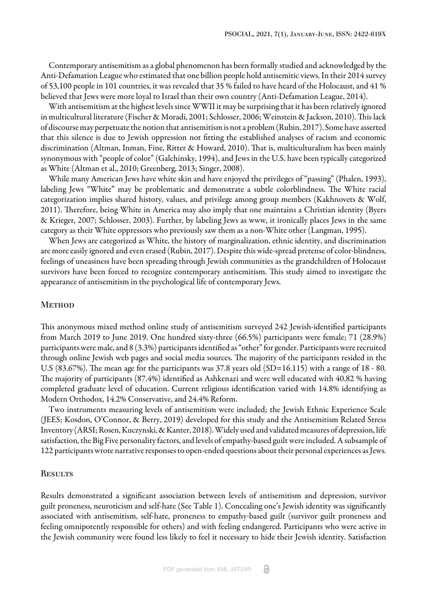Contemporary antisemitism as a global phenomenon has been formally studied and acknowledged by the Anti-Defamation League who estimated that one billion people hold antisemitic views. In their 2014 survey of 53,100 people in 101 countries, it was revealed that 35 % failed to have heard of the Holocaust, and 41 % believed that Jews were more loyal to Israel than their own country [\(Anti-Defamation League, 2014\).](#page-3-0)

With antisemitism at the highest levels since WWII it may be surprising that it has been relatively ignored in multicultural literature [\(Fischer & Moradi, 2001;](#page-4-0) [Schlosser, 2006](#page-4-1); [Weinstein & Jackson, 2010](#page-4-2)). This lack of discourse may perpetuate the notion that antisemitism is not a problem ([Rubin, 2017\)](#page-4-3). Some have asserted that this silence is due to Jewish oppression not fitting the established analyses of racism and economic discrimination [\(Altman, Inman, Fine, Ritter & Howard, 2010\)](#page-3-1). That is, multiculturalism has been mainly synonymous with "people of color" ([Galchinsky, 1994\)](#page-4-4), and Jews in the U.S. have been typically categorized as White ([Altman et al., 2010;](#page-3-1) [Greenberg, 2013](#page-4-5); [Singer, 2008](#page-4-6)).

While many American Jews have white skin and have enjoyed the privileges of "passing" [\(Phalen, 1993](#page-4-7)), labeling Jews "White" may be problematic and demonstrate a subtle colorblindness. The White racial categorization implies shared history, values, and privilege among group members [\(Kakhnovets & Wolf,](#page-4-8) [2011\)](#page-4-8). Therefore, being White in America may also imply that one maintains a Christian identity ([Byers](#page-3-2) [& Krieger, 2007;](#page-3-2) [Schlosser, 2003\)](#page-4-9). Further, by labeling Jews as www, it ironically places Jews in the same category as their White oppressors who previously saw them as a non-White other [\(Langman, 1995\).](#page-4-10)

When Jews are categorized as White, the history of marginalization, ethnic identity, and discrimination are more easily ignored and even erased [\(Rubin, 2017\).](#page-4-3) Despite this wide-spread pretense of color-blindness, feelings of uneasiness have been spreading through Jewish communities as the grandchildren of Holocaust survivors have been forced to recognize contemporary antisemitism. This study aimed to investigate the appearance of antisemitism in the psychological life of contemporary Jews.

### **METHOD**

This anonymous mixed method online study of antisemitism surveyed 242 Jewish-identified participants from March 2019 to June 2019. One hundred sixty-three (66.5%) participants were female; 71 (28.9%) participants were male, and 8 (3.3%) participants identified as "other" for gender. Participants were recruited through online Jewish web pages and social media sources. The majority of the participants resided in the U.S (83.67%). The mean age for the participants was 37.8 years old (SD=16.115) with a range of 18 - 80. The majority of participants (87.4%) identified as Ashkenazi and were well educated with 40.82 % having completed graduate level of education. Current religious identification varied with 14.8% identifying as Modern Orthodox, 14.2% Conservative, and 24.4% Reform.

Two instruments measuring levels of antisemitism were included; the Jewish Ethnic Experience Scale (JEES; [Kosdon, O'Connor, & Berry, 2019\)](#page-4-11) developed for this study and the Antisemitism Related Stress Inventory (ARSI; [Rosen, Kuczynski, & Kanter, 2018\).](#page-4-12) Widely used and validated measures of depression, life satisfaction, the Big Five personality factors, and levels of empathy-based guilt were included. A subsample of 122 participants wrote narrative responses to open-ended questions about their personal experiences as Jews.

#### **RESULTS**

Results demonstrated a significant association between levels of antisemitism and depression, survivor guilt proneness, neuroticism and self-hate (See Table 1). Concealing one's Jewish identity was significantly associated with antisemitism, self-hate, proneness to empathy-based guilt (survivor guilt proneness and feeling omnipotently responsible for others) and with feeling endangered. Participants who were active in the Jewish community were found less likely to feel it necessary to hide their Jewish identity. Satisfaction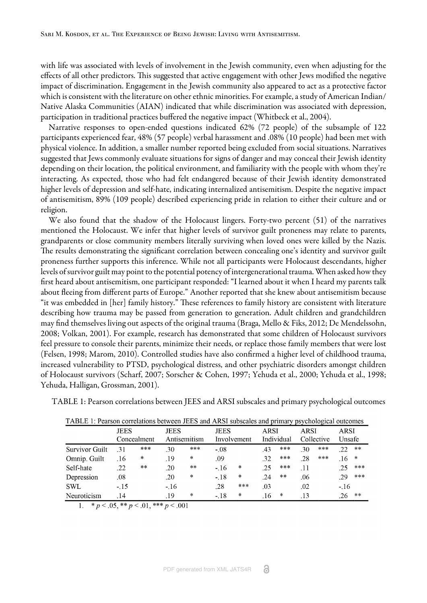with life was associated with levels of involvement in the Jewish community, even when adjusting for the effects of all other predictors. This suggested that active engagement with other Jews modified the negative impact of discrimination. Engagement in the Jewish community also appeared to act as a protective factor which is consistent with the literature on other ethnic minorities. For example, a study of American Indian/ Native Alaska Communities (AIAN) indicated that while discrimination was associated with depression, participation in traditional practices buffered the negative impact [\(Whitbeck et al., 2004\).](#page-5-0)

Narrative responses to open-ended questions indicated 62% (72 people) of the subsample of 122 participants experienced fear, 48% (57 people) verbal harassment and .08% (10 people) had been met with physical violence. In addition, a smaller number reported being excluded from social situations. Narratives suggested that Jews commonly evaluate situations for signs of danger and may conceal their Jewish identity depending on their location, the political environment, and familiarity with the people with whom they're interacting. As expected, those who had felt endangered because of their Jewish identity demonstrated higher levels of depression and self-hate, indicating internalized antisemitism. Despite the negative impact of antisemitism, 89% (109 people) described experiencing pride in relation to either their culture and or religion.

We also found that the shadow of the Holocaust lingers. Forty-two percent (51) of the narratives mentioned the Holocaust. We infer that higher levels of survivor guilt proneness may relate to parents, grandparents or close community members literally surviving when loved ones were killed by the Nazis. The results demonstrating the significant correlation between concealing one's identity and survivor guilt proneness further supports this inference. While not all participants were Holocaust descendants, higher levels of survivor guilt may point to the potential potency of intergenerational trauma. When asked how they first heard about antisemitism, one participant responded: "I learned about it when I heard my parents talk about fleeing from different parts of Europe." Another reported that she knew about antisemitism because "it was embedded in [her] family history." These references to family history are consistent with literature describing how trauma may be passed from generation to generation. Adult children and grandchildren may find themselves living out aspects of the original trauma ([Braga, Mello & Fiks, 2012;](#page-3-3) [De Mendelssohn,](#page-3-4) [2008](#page-3-4); [Volkan, 2001\)](#page-4-13). For example, research has demonstrated that some children of Holocaust survivors feel pressure to console their parents, minimize their needs, or replace those family members that were lost ([Felsen, 1998](#page-4-14); [Marom, 2010](#page-4-15)). Controlled studies have also confirmed a higher level of childhood trauma, increased vulnerability to PTSD, psychological distress, and other psychiatric disorders amongst children of Holocaust survivors ([Scharf, 2007](#page-4-16); [Sorscher & Cohen, 1997](#page-4-17); [Yehuda et al., 2000;](#page-5-1) [Yehuda et al., 1998;](#page-5-2) [Yehuda, Halligan, Grossman, 2001](#page-5-3)).

<span id="page-2-0"></span>[TABLE 1: Pearson correlations between JEES and ARSI subscales and primary psychological outcomes](#page-2-0)

|                       | <b>JEES</b><br>Concealment |        | <b>JEES</b><br>Antisemitism |        | <b>JEES</b><br>Involvement |        | <b>ARSI</b><br>Individual |        | ARSI<br>Collective |       | ARSI<br>Unsafe |        |
|-----------------------|----------------------------|--------|-----------------------------|--------|----------------------------|--------|---------------------------|--------|--------------------|-------|----------------|--------|
|                       |                            |        |                             |        |                            |        |                           |        |                    |       |                |        |
| <b>Survivor Guilt</b> | .31                        | $***$  | .30                         | ***    | $-0.08$                    |        | .43                       | $***$  | 30                 | ***   | 22             | **     |
| Omnip. Guilt          | .16                        | $\ast$ | .19                         | $\ast$ | .09                        |        | .32                       | $***$  | .28                | $***$ | .16            | $\ast$ |
| Self-hate             | .22                        | $**$   | .20                         | $**$   | $-16$                      | *      | .25                       | $***$  | .11                |       |                | $***$  |
| Depression            | .08                        |        | .20                         | $\ast$ | $-.18$                     | ∗      | .24                       | $**$   | .06                |       | 29             | $***$  |
| <b>SWL</b>            | $-15$                      |        | $-16$                       |        | .28                        | $***$  | .03                       |        | .02                |       | $-16$          |        |
| Neuroticism           | .14                        |        | .19                         | $\ast$ | $-18$                      | $\ast$ | .16                       | $\ast$ | .13                |       | .26            | **     |

TABLE 1: Pearson correlations between JEES and ARSI subscales and primary psychological outcomes

1.  $\ast p < .05, \ast \ast p < .01, \ast \ast \ast p < .001$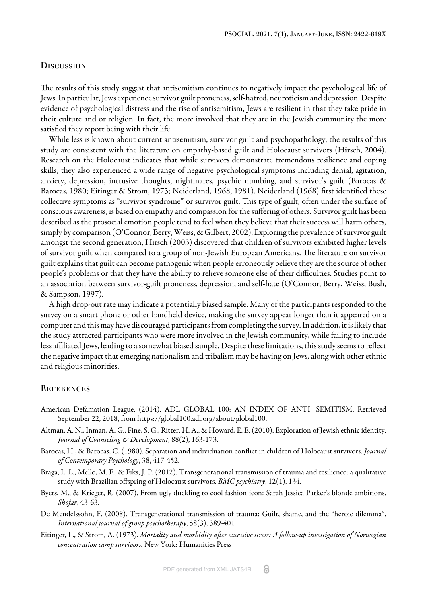### **DISCUSSION**

The results of this study suggest that antisemitism continues to negatively impact the psychological life of Jews. In particular, Jews experience survivor guilt proneness, self-hatred, neuroticism and depression. Despite evidence of psychological distress and the rise of antisemitism, Jews are resilient in that they take pride in their culture and or religion. In fact, the more involved that they are in the Jewish community the more satisfied they report being with their life.

While less is known about current antisemitism, survivor guilt and psychopathology, the results of this study are consistent with the literature on empathy-based guilt and Holocaust survivors [\(Hirsch, 2004\)](#page-4-18). Research on the Holocaust indicates that while survivors demonstrate tremendous resilience and coping skills, they also experienced a wide range of negative psychological symptoms including denial, agitation, anxiety, depression, intrusive thoughts, nightmares, psychic numbing, and survivor's guilt ([Barocas &](#page-3-5) [Barocas, 1980](#page-3-5); [Eitinger & Strom, 1973;](#page-3-6) [Neiderland, 1968, 1981\).](#page-4-19) [Neiderland \(1968\)](#page-4-20) first identified these collective symptoms as "survivor syndrome" or survivor guilt. This type of guilt, often under the surface of conscious awareness, is based on empathy and compassion for the suffering of others. Survivor guilt has been described as the prosocial emotion people tend to feel when they believe that their success will harm others, simply by comparison [\(O'Connor, Berry, Weiss, & Gilbert, 2002](#page-4-21)). Exploring the prevalence of survivor guilt amongst the second generation, [Hirsch \(2003\)](#page-4-18) discovered that children of survivors exhibited higher levels of survivor guilt when compared to a group of non-Jewish European Americans. The literature on survivor guilt explains that guilt can become pathogenic when people erroneously believe they are the source of other people's problems or that they have the ability to relieve someone else of their difficulties. Studies point to an association between survivor-guilt proneness, depression, and self-hate [\(O'Connor, Berry, Weiss, Bush,](#page-4-22) [& Sampson, 1997\)](#page-4-22).

A high drop-out rate may indicate a potentially biased sample. Many of the participants responded to the survey on a smart phone or other handheld device, making the survey appear longer than it appeared on a computer and this may have discouraged participants from completing the survey. In addition, it is likely that the study attracted participants who were more involved in the Jewish community, while failing to include less affiliated Jews, leading to a somewhat biased sample. Despite these limitations, this study seems to reflect the negative impact that emerging nationalism and tribalism may be having on Jews, along with other ethnic and religious minorities.

# **REFERENCES**

- <span id="page-3-0"></span>American Defamation League. (2014). ADL GLOBAL 100: AN INDEX OF ANTI- SEMITISM. Retrieved September 22, 2018, from https://global100.adl.org/about/global100.
- <span id="page-3-1"></span>Altman, A. N., Inman, A. G., Fine, S. G., Ritter, H. A., & Howard, E. E. (2010). Exploration of Jewish ethnic identity. *Journal of Counseling & Development*, 88(2), 163-173.
- <span id="page-3-5"></span>Barocas, H., & Barocas, C. (1980). Separation and individuation conflict in children of Holocaust survivors. *Journal of Contemporary Psychology*, 38, 417-452.
- <span id="page-3-3"></span>Braga, L. L., Mello, M. F., & Fiks, J. P. (2012). Transgenerational transmission of trauma and resilience: a qualitative study with Brazilian offspring of Holocaust survivors. *BMC psychiatry*, 12(1), 134.
- <span id="page-3-2"></span>Byers, M., & Krieger, R. (2007). From ugly duckling to cool fashion icon: Sarah Jessica Parker's blonde ambitions. *Shofar*, 43-63.
- <span id="page-3-4"></span>De Mendelssohn, F. (2008). Transgenerational transmission of trauma: Guilt, shame, and the "heroic dilemma". *International journal of group psychotherapy*, 58(3), 389-401
- <span id="page-3-6"></span>Eitinger, L., & Strom, A. (1973). *Mortality and morbidity after excessive stress: A follow-up investigation of Norwegian concentration camp survivors.* New York: Humanities Press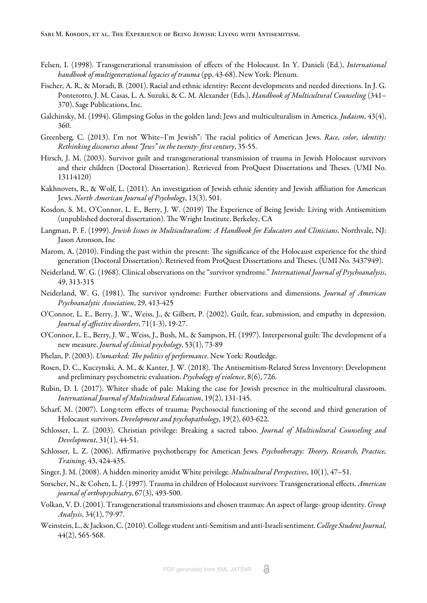- <span id="page-4-14"></span>Felsen, I. (1998). Transgenerational transmission of effects of the Holocaust. In Y. Danieli (Ed.), *International handbook of multigenerational legacies of trauma* (pp. 43-68). New York: Plenum.
- <span id="page-4-0"></span>Fischer, A. R., & Moradi, B. (2001). Racial and ethnic identity: Recent developments and needed directions. In J. G. Ponterotto, J. M. Casas, L. A. Suzuki, & C. M. Alexander (Eds.), *Handbook of Multicultural Counseling* (341– 370). Sage Publications, Inc.
- <span id="page-4-4"></span>Galchinsky, M. (1994). Glimpsing Golus in the golden land: Jews and multiculturalism in America. *Judaism*, 43(4), 360.
- <span id="page-4-5"></span>Greenberg, C. (2013). I'm not White-I'm Jewish": The racial politics of American Jews. *Race, color, identity*: *Rethinking discourses about "Jews" in the twenty- first century*, 35-55.
- <span id="page-4-18"></span>Hirsch, J. M. (2003). Survivor guilt and transgenerational transmission of trauma in Jewish Holocaust survivors and their children (Doctoral Dissertation). Retrieved from ProQuest Dissertations and Theses. (UMI No. 13114120)
- <span id="page-4-8"></span>Kakhnovets, R., & Wolf, L. (2011). An investigation of Jewish ethnic identity and Jewish affiliation for American Jews. *North American Journal of Psychology*, 13(3), 501.
- <span id="page-4-11"></span>Kosdon, S. M., O'Connor, L. E., Berry, J. W. (2019) The Experience of Being Jewish: Living with Antisemitism (unpublished doctoral dissertation). The Wright Institute. Berkeley, CA
- <span id="page-4-10"></span>Langman, P. F. (1999). *Jewish Issues in Multiculturalism: A Handbook for Educators and Clinicians*. Northvale, NJ: Jason Aronson, Inc
- <span id="page-4-15"></span>Marom, A. (2010). Finding the past within the present: The significance of the Holocaust experience for the third generation (Doctoral Dissertation). Retrieved from ProQuest Dissertations and Theses. (UMI No. 3437949).
- <span id="page-4-20"></span>Neiderland, W. G. (1968). Clinical observations on the "survivor syndrome." *International Journal of Psychoanalysis*, 49, 313-315
- <span id="page-4-19"></span>Neiderland, W. G. (1981). The survivor syndrome: Further observations and dimensions. *Journal of American Psychoanalytic Association*, 29, 413-425
- <span id="page-4-21"></span>O'Connor, L. E., Berry, J. W., Weiss, J., & Gilbert, P. (2002). Guilt, fear, submission, and empathy in depression. *Journal of affective disorders*, 71(1-3), 19-27.
- <span id="page-4-22"></span>O'Connor, L. E., Berry, J. W., Weiss, J., Bush, M., & Sampson, H. (1997). Interpersonal guilt: The development of a new measure. *Journal of clinical psychology*, 53(1), 73-89
- <span id="page-4-7"></span>Phelan, P. (2003). *Unmarked: The politics of performance*. New York: Routledge.
- <span id="page-4-12"></span>Rosen, D. C., Kuczynski, A. M., & Kanter, J. W. (2018). The Antisemitism-Related Stress Inventory: Development and preliminary psychometric evaluation. *Psychology of violence*, 8(6), 726.
- <span id="page-4-3"></span>Rubin, D. I. (2017). Whiter shade of pale: Making the case for Jewish presence in the multicultural classroom. *International Journal of Multicultural Education*, 19(2), 131-145.
- <span id="page-4-16"></span>Scharf, M. (2007). Long-term effects of trauma: Psychosocial functioning of the second and third generation of Holocaust survivors. *Development and psychopathology*, 19(2), 603-622.
- <span id="page-4-9"></span>Schlosser, L. Z. (2003). Christian privilege: Breaking a sacred taboo. *Journal of Multicultural Counseling and Development*, 31(1), 44-51.
- <span id="page-4-1"></span>Schlosser, L. Z. (2006). Affirmative psychotherapy for American Jews. *Psychotherapy: Theory, Research, Practice, Training*, 43, 424-435.
- <span id="page-4-6"></span>Singer, J. M. (2008). A hidden minority amidst White privilege. *Multicultural Perspectives*, 10(1), 47–51.
- <span id="page-4-17"></span>Sorscher, N., & Cohen, L. J. (1997). Trauma in children of Holocaust survivors: Transgenerational effects. *American journal of orthopsychiatry*, 67(3), 493-500.
- <span id="page-4-13"></span>Volkan, V. D. (2001). Transgenerational transmissions and chosen traumas: An aspect of large- group identity. *Group Analysis*, 34(1), 79-97.
- <span id="page-4-2"></span>Weinstein, L., & Jackson, C. (2010). College student anti-Semitism and anti-Israeli sentiment. *College Student Journal*, 44(2), 565-568.